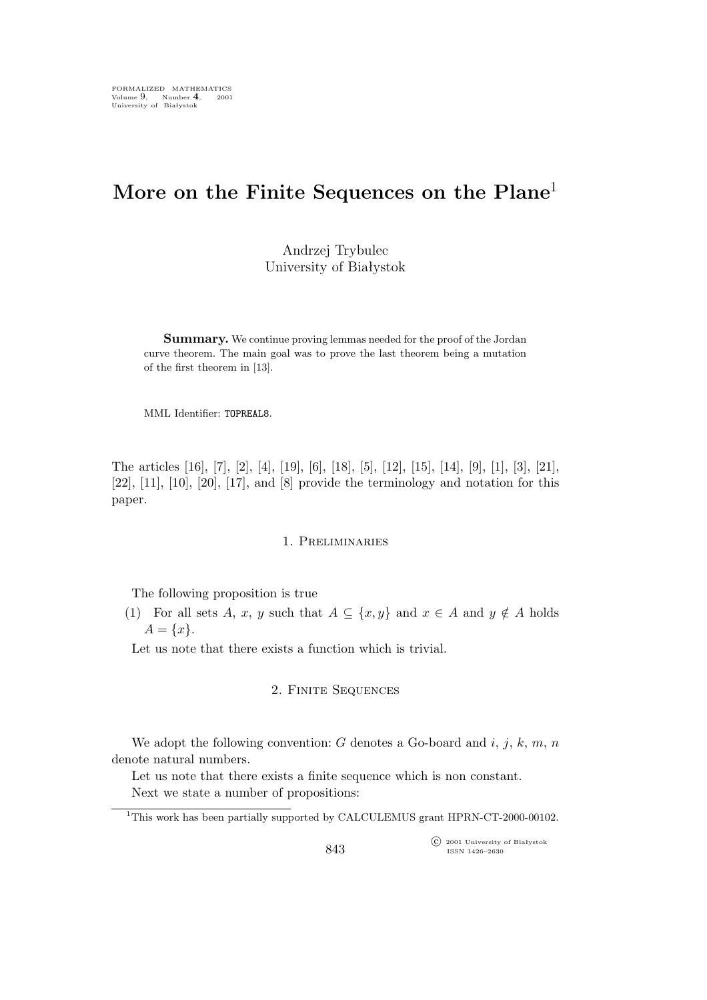# **More on the Finite Sequences on the Plane**<sup>1</sup>

Andrzej Trybulec University of Białystok

**Summary.** We continue proving lemmas needed for the proof of the Jordan curve theorem. The main goal was to prove the last theorem being a mutation of the first theorem in [13].

MML Identifier: TOPREAL8.

The articles [16], [7], [2], [4], [19], [6], [18], [5], [12], [15], [14], [9], [1], [3], [21],  $[22]$ ,  $[11]$ ,  $[10]$ ,  $[20]$ ,  $[17]$ , and  $[8]$  provide the terminology and notation for this paper.

## 1. Preliminaries

The following proposition is true

(1) For all sets A, x, y such that  $A \subseteq \{x, y\}$  and  $x \in A$  and  $y \notin A$  holds  $A = \{x\}.$ 

Let us note that there exists a function which is trivial.

### 2. Finite Sequences

We adopt the following convention: G denotes a Go-board and  $i, j, k, m, n$ denote natural numbers.

Let us note that there exists a finite sequence which is non constant. Next we state a number of propositions:

°c 2001 University of Białystok ISSN 1426–2630

<sup>&</sup>lt;sup>1</sup>This work has been partially supported by CALCULEMUS grant HPRN-CT-2000-00102.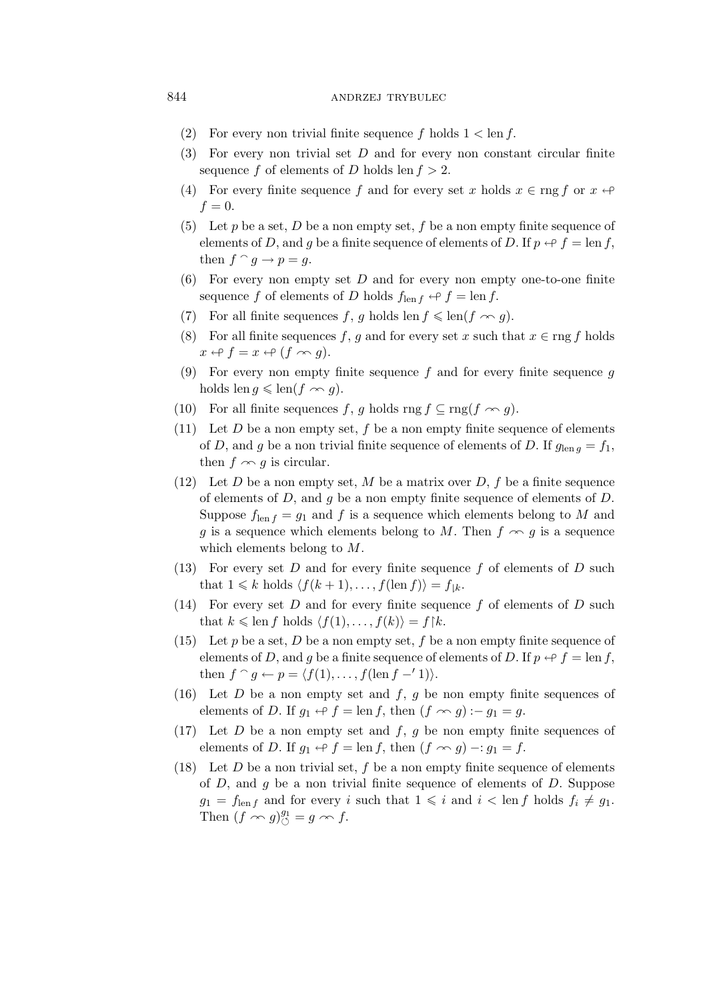#### 844 ANDRZEJ TRYBULEC

- (2) For every non trivial finite sequence f holds  $1 < \text{len } f$ .
- (3) For every non trivial set  $D$  and for every non constant circular finite sequence f of elements of D holds len  $f > 2$ .
- (4) For every finite sequence f and for every set x holds  $x \in \text{rng } f$  or  $x \leftrightarrow$  $f=0.$
- (5) Let p be a set, D be a non empty set, f be a non empty finite sequence of elements of D, and g be a finite sequence of elements of D. If  $p \leftrightarrow f = \text{len } f$ , then  $f \cap g \to p = g$ .
- $(6)$  For every non empty set D and for every non empty one-to-one finite sequence f of elements of D holds  $f_{\text{len }f} \leftrightarrow f = \text{len } f$ .
- (7) For all finite sequences f, g holds len  $f \leq \text{len}(f \sim g)$ .
- (8) For all finite sequences f, g and for every set x such that  $x \in \text{rng } f$  holds  $x \leftrightarrow f = x \leftrightarrow (f \sim g).$
- (9) For every non empty finite sequence f and for every finite sequence  $q$ holds len  $g \leqslant \text{len}(f \sim g)$ .
- (10) For all finite sequences f, g holds rng  $f \subseteq \text{rng}(f \sim g)$ .
- (11) Let  $D$  be a non empty set,  $f$  be a non empty finite sequence of elements of D, and g be a non trivial finite sequence of elements of D. If  $g_{\text{len }g} = f_1$ , then  $f \sim g$  is circular.
- (12) Let D be a non empty set, M be a matrix over D, f be a finite sequence of elements of  $D$ , and  $g$  be a non empty finite sequence of elements of  $D$ . Suppose  $f_{\text{len }f} = g_1$  and f is a sequence which elements belong to M and g is a sequence which elements belong to M. Then  $f \sim g$  is a sequence which elements belong to M.
- (13) For every set  $D$  and for every finite sequence  $f$  of elements of  $D$  such that  $1 \leq k$  holds  $\langle f(k+1), \ldots, f(\text{len } f) \rangle = f_{\downarrow k}$ .
- (14) For every set  $D$  and for every finite sequence  $f$  of elements of  $D$  such that  $k \leqslant \text{len } f \text{ holds } \langle f(1), \ldots, f(k) \rangle = f \upharpoonright k.$
- (15) Let p be a set, D be a non empty set, f be a non empty finite sequence of elements of D, and q be a finite sequence of elements of D. If  $p \leftrightarrow f = \text{len } f$ , then  $f \cap g \leftarrow p = \langle f(1), \ldots, f(\text{len } f - '1) \rangle$ .
- (16) Let D be a non empty set and  $f, g$  be non empty finite sequences of elements of D. If  $g_1 \nleftrightarrow f = \text{len } f$ , then  $(f \nleftrightarrow g) := g_1 = g$ .
- (17) Let D be a non empty set and  $f, g$  be non empty finite sequences of elements of D. If  $g_1 \nleftrightarrow f = \text{len } f$ , then  $(f \nleftrightarrow g) -: g_1 = f$ .
- (18) Let  $D$  be a non trivial set,  $f$  be a non empty finite sequence of elements of  $D$ , and  $g$  be a non trivial finite sequence of elements of  $D$ . Suppose  $g_1 = f_{\text{len }f}$  and for every i such that  $1 \leq i$  and  $i < \text{len }f$  holds  $f_i \neq g_1$ . Then  $(f \nightharpoonup g)_{\circlearrowleft}^{g_1} = g \nightharpoonup f$ .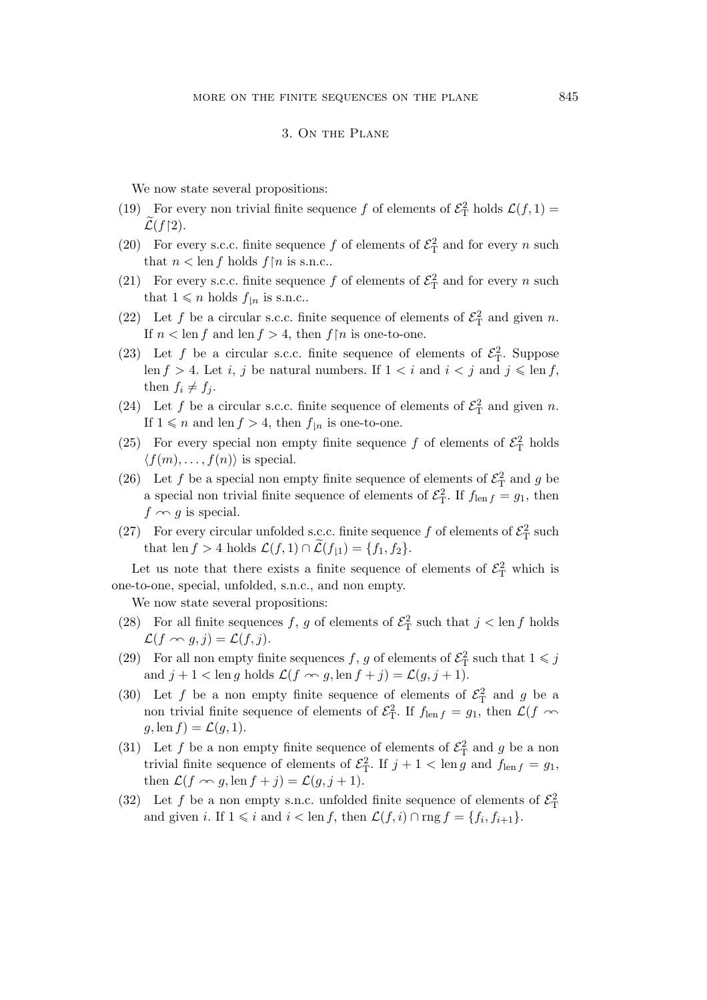#### 3. On the Plane

We now state several propositions:

- (19) For every non trivial finite sequence f of elements of  $\mathcal{E}_{\rm T}^2$  holds  $\mathcal{L}(f, 1) =$  $\mathcal{L}(f \restriction 2).$
- (20) For every s.c.c. finite sequence f of elements of  $\mathcal{E}_T^2$  and for every n such that  $n < \text{len } f$  holds  $f \upharpoonright n$  is s.n.c..
- (21) For every s.c.c. finite sequence f of elements of  $\mathcal{E}_{\rm T}^2$  and for every n such that  $1 \leqslant n$  holds  $f_{\mid n}$  is s.n.c..
- (22) Let f be a circular s.c.c. finite sequence of elements of  $\mathcal{E}_{\rm T}^2$  and given n. If  $n < \text{len } f$  and  $\text{len } f > 4$ , then  $f \upharpoonright n$  is one-to-one.
- (23) Let f be a circular s.c.c. finite sequence of elements of  $\mathcal{E}_{\rm T}^2$ . Suppose len  $f > 4$ . Let *i*, *j* be natural numbers. If  $1 < i$  and  $i < j$  and  $j \leq \text{len } f$ , then  $f_i \neq f_j$ .
- (24) Let f be a circular s.c.c. finite sequence of elements of  $\mathcal{E}_{\rm T}^2$  and given n. If  $1 \leq n$  and len  $f > 4$ , then  $f_{\vert n}$  is one-to-one.
- (25) For every special non empty finite sequence f of elements of  $\mathcal{E}_T^2$  holds  $\langle f(m), \ldots, f(n) \rangle$  is special.
- (26) Let f be a special non empty finite sequence of elements of  $\mathcal{E}_{\rm T}^2$  and g be a special non trivial finite sequence of elements of  $\mathcal{E}_{\rm T}^2$ . If  $f_{\rm len f} = g_1$ , then  $f \sim g$  is special.
- (27) For every circular unfolded s.c.c. finite sequence f of elements of  $\mathcal{E}_{\rm T}^2$  such that len  $f > 4$  holds  $\mathcal{L}(f, 1) \cap \mathcal{L}(f_{\downarrow 1}) = \{f_1, f_2\}.$

Let us note that there exists a finite sequence of elements of  $\mathcal{E}_{\rm T}^2$  which is one-to-one, special, unfolded, s.n.c., and non empty.

We now state several propositions:

- (28) For all finite sequences f, g of elements of  $\mathcal{E}_{\rm T}^2$  such that  $j < \text{len } f$  holds  $\mathcal{L}(f \curvearrowright g, j) = \mathcal{L}(f, j).$
- (29) For all non empty finite sequences f, g of elements of  $\mathcal{E}_{\rm T}^2$  such that  $1 \leqslant j$ and  $j + 1 < \text{len } g$  holds  $\mathcal{L}(f \sim g, \text{len } f + j) = \mathcal{L}(g, j + 1)$ .
- (30) Let f be a non empty finite sequence of elements of  $\mathcal{E}^2$  and g be a non trivial finite sequence of elements of  $\mathcal{E}_{\rm T}^2$ . If  $f_{\rm len f} = g_1$ , then  $\mathcal{L}(f \sim$  $g$ , len  $f$ ) =  $\mathcal{L}(g, 1)$ .
- (31) Let f be a non empty finite sequence of elements of  $\mathcal{E}_{\rm T}^2$  and g be a non trivial finite sequence of elements of  $\mathcal{E}_{\rm T}^2$ . If  $j + 1 < \text{len } g$  and  $f_{\text{len } f} = g_1$ , then  $\mathcal{L}(f \curvearrowright g, \text{len } f + j) = \mathcal{L}(g, j + 1).$
- (32) Let f be a non empty s.n.c. unfolded finite sequence of elements of  $\mathcal{E}_{\Gamma}^2$ and given *i*. If  $1 \leq i$  and  $i < \text{len } f$ , then  $\mathcal{L}(f, i) \cap \text{rng } f = \{f_i, f_{i+1}\}.$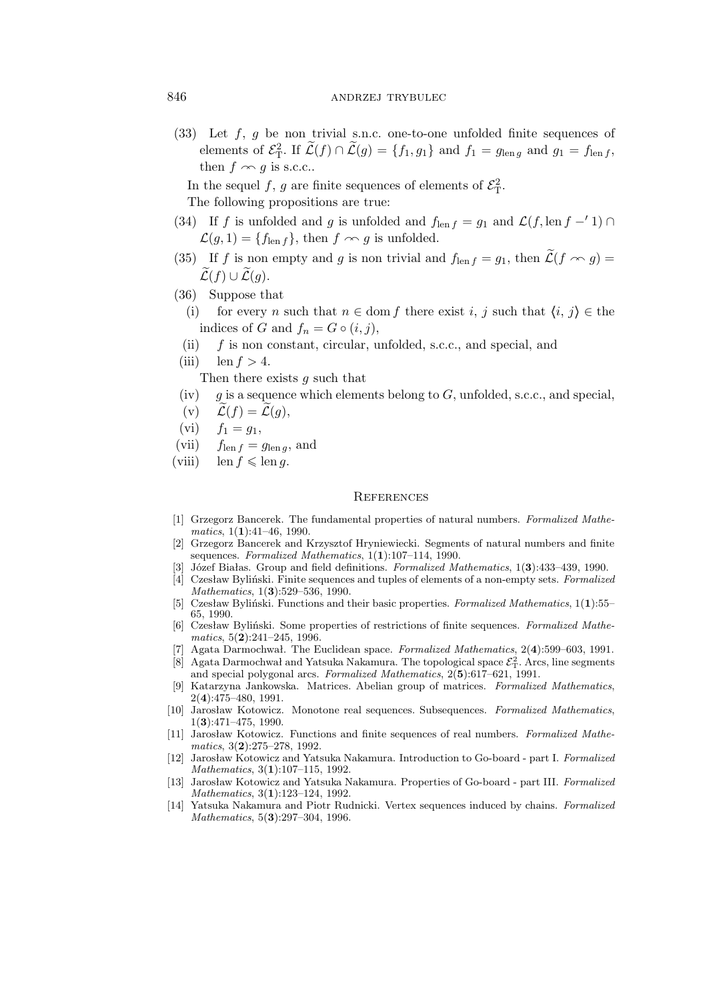### 846 ANDRZEJ TRYBULEC

 $(33)$  Let f, g be non trivial s.n.c. one-to-one unfolded finite sequences of elements of  $\mathcal{E}_{\rm T}^2$ . If  $\widetilde{\mathcal{L}}(f) \cap \widetilde{\mathcal{L}}(g) = \{f_1, g_1\}$  and  $f_1 = g_{\text{len }g}$  and  $g_1 = f_{\text{len }f}$ , then  $f \sim g$  is s.c.c..

In the sequel f, g are finite sequences of elements of  $\mathcal{E}_{\rm T}^2$ . The following propositions are true:

- (34) If f is unfolded and g is unfolded and  $f_{\text{len }f} = g_1$  and  $\mathcal{L}(f, \text{len } f -' 1) \cap$  $\mathcal{L}(g, 1) = \{f_{\text{len }f}\}\$ , then  $f \sim g$  is unfolded.
- (35) If f is non empty and g is non trivial and  $f_{\text{len }f} = g_1$ , then  $\widetilde{\mathcal{L}}(f \curvearrowright g) =$  $\widetilde{\mathcal{L}}(f) \cup \widetilde{\mathcal{L}}(g)$ .
- (36) Suppose that
	- (i) for every n such that  $n \in \text{dom } f$  there exist i, j such that  $\langle i, j \rangle \in \text{the } i$ indices of G and  $f_n = G \circ (i, j)$ ,
	- (ii) f is non constant, circular, unfolded, s.c.c., and special, and
- (iii) len  $f > 4$ .

Then there exists g such that

- (iv)  $g$  is a sequence which elements belong to  $G$ , unfolded, s.c.c., and special,
- (v)  $\widetilde{\mathcal{L}}(f) = \widetilde{\mathcal{L}}(q),$
- (vi)  $f_1 = g_1$ ,
- (vii)  $f_{\text{len }f} = g_{\text{len }g}$ , and
- (viii) len  $f \leqslant \text{len } g$ .

#### **REFERENCES**

- [1] Grzegorz Bancerek. The fundamental properties of natural numbers. *Formalized Mathematics*, 1(**1**):41–46, 1990.
- [2] Grzegorz Bancerek and Krzysztof Hryniewiecki. Segments of natural numbers and finite sequences. *Formalized Mathematics*, 1(**1**):107–114, 1990.
- [3] Józef Białas. Group and field definitions. *Formalized Mathematics*, 1(**3**):433–439, 1990.
- [4] Czesław Byliński. Finite sequences and tuples of elements of a non-empty sets. *Formalized Mathematics*, 1(**3**):529–536, 1990.
- [5] Czesław Byliński. Functions and their basic properties. *Formalized Mathematics*, 1(**1**):55– 65, 1990.
- [6] Czesław Byliński. Some properties of restrictions of finite sequences. *Formalized Mathematics*, 5(**2**):241–245, 1996.
- [7] Agata Darmochwał. The Euclidean space. *Formalized Mathematics*, 2(**4**):599–603, 1991.
- $[8]$  Agata Darmochwał and Yatsuka Nakamura. The topological space  $\mathcal{E}_T^2$ . Arcs, line segments and special polygonal arcs. *Formalized Mathematics*, 2(**5**):617–621, 1991.
- [9] Katarzyna Jankowska. Matrices. Abelian group of matrices. *Formalized Mathematics*, 2(**4**):475–480, 1991.
- [10] Jarosław Kotowicz. Monotone real sequences. Subsequences. *Formalized Mathematics*, 1(**3**):471–475, 1990.
- [11] Jarosław Kotowicz. Functions and finite sequences of real numbers. *Formalized Mathematics*, 3(**2**):275–278, 1992.
- [12] Jarosław Kotowicz and Yatsuka Nakamura. Introduction to Go-board part I. *Formalized Mathematics*, 3(**1**):107–115, 1992.
- [13] Jarosław Kotowicz and Yatsuka Nakamura. Properties of Go-board part III. *Formalized Mathematics*, 3(**1**):123–124, 1992.
- [14] Yatsuka Nakamura and Piotr Rudnicki. Vertex sequences induced by chains. *Formalized Mathematics*, 5(**3**):297–304, 1996.